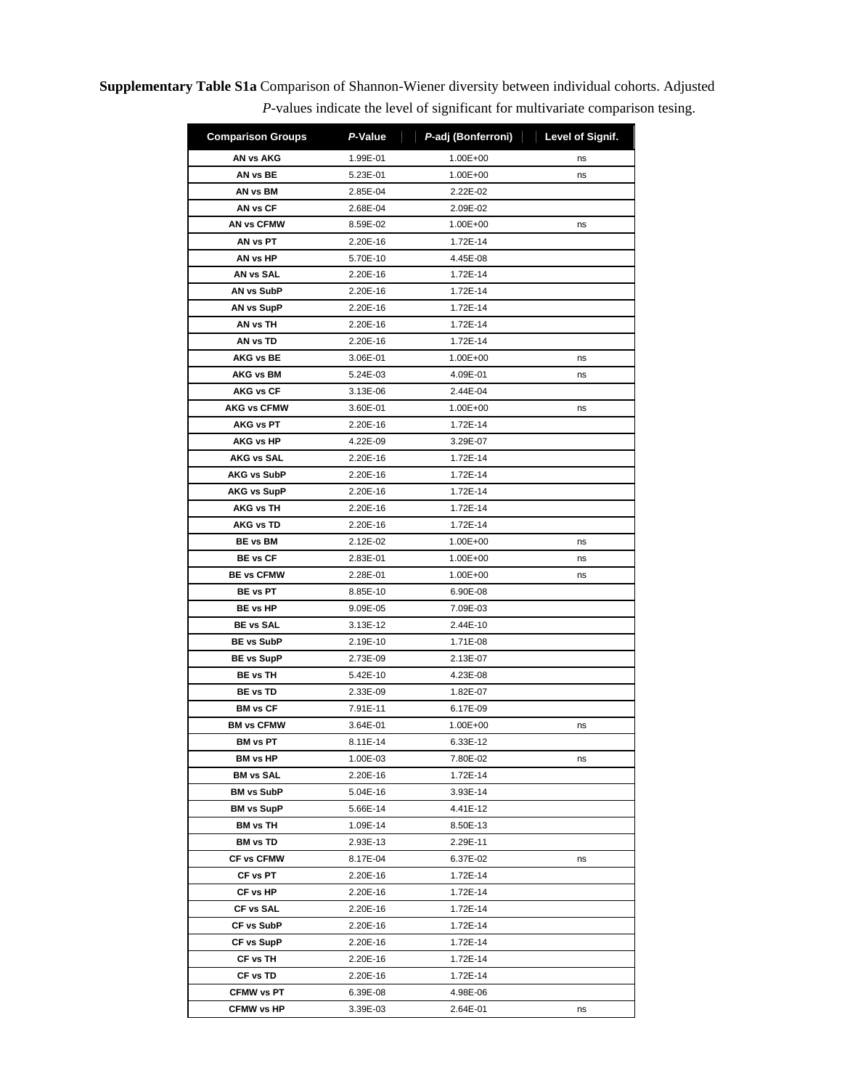**Supplementary Table S1a** Comparison of Shannon-Wiener diversity between individual cohorts. Adjusted *P*-values indicate the level of significant for multivariate comparison tesing.

| <b>Comparison Groups</b> | P-Value  | P-adj (Bonferroni) | Level of Signif. |
|--------------------------|----------|--------------------|------------------|
| AN vs AKG                | 1.99E-01 | 1.00E+00           | ns               |
| AN vs BE                 | 5.23E-01 | 1.00E+00           | ns               |
| AN vs BM                 | 2.85E-04 | 2.22E-02           |                  |
| AN vs CF                 | 2.68E-04 | 2.09E-02           |                  |
| AN vs CFMW               | 8.59E-02 | 1.00E+00           | ns               |
| AN vs PT                 | 2.20E-16 | 1.72E-14           |                  |
| AN vs HP                 | 5.70E-10 | 4.45E-08           |                  |
| AN vs SAL                | 2.20E-16 | 1.72E-14           |                  |
| <b>AN vs SubP</b>        | 2.20E-16 | 1.72E-14           |                  |
| <b>AN vs SupP</b>        | 2.20E-16 | 1.72E-14           |                  |
| AN vs TH                 | 2.20E-16 | 1.72E-14           |                  |
| AN vs TD                 | 2.20E-16 | 1.72E-14           |                  |
| <b>AKG vs BE</b>         | 3.06E-01 | 1.00E+00           | ns               |
| AKG vs BM                | 5.24E-03 | 4.09E-01           | ns               |
| <b>AKG vs CF</b>         | 3.13E-06 | 2.44E-04           |                  |
| <b>AKG vs CFMW</b>       | 3.60E-01 | 1.00E+00           | ns               |
| <b>AKG vs PT</b>         | 2.20E-16 | 1.72E-14           |                  |
| <b>AKG vs HP</b>         | 4.22E-09 | 3.29E-07           |                  |
| <b>AKG vs SAL</b>        | 2.20E-16 | 1.72E-14           |                  |
| <b>AKG vs SubP</b>       | 2.20E-16 | 1.72E-14           |                  |
| <b>AKG vs SupP</b>       | 2.20E-16 | 1.72E-14           |                  |
| AKG vs TH                | 2.20E-16 | 1.72E-14           |                  |
| AKG vs TD                | 2.20E-16 | 1.72E-14           |                  |
| <b>BE vs BM</b>          | 2.12E-02 | 1.00E+00           | ns               |
| <b>BE vs CF</b>          | 2.83E-01 | 1.00E+00           | ns               |
| <b>BE vs CFMW</b>        | 2.28E-01 | 1.00E+00           | ns               |
| <b>BE vs PT</b>          | 8.85E-10 | 6.90E-08           |                  |
| <b>BE vs HP</b>          | 9.09E-05 | 7.09E-03           |                  |
| <b>BE vs SAL</b>         | 3.13E-12 | 2.44E-10           |                  |
| <b>BE vs SubP</b>        | 2.19E-10 | 1.71E-08           |                  |
| <b>BE vs SupP</b>        | 2.73E-09 | 2.13E-07           |                  |
| <b>BE vs TH</b>          | 5.42E-10 | 4.23E-08           |                  |
| <b>BE vs TD</b>          | 2.33E-09 | 1.82E-07           |                  |
| <b>BM vs CF</b>          | 7.91E-11 | 6.17E-09           |                  |
| <b>BM vs CFMW</b>        | 3.64E-01 | 1.00E+00           | ns               |
| <b>BM</b> vs PT          | 8.11E-14 | 6.33E-12           |                  |
| <b>BM vs HP</b>          | 1.00E-03 | 7.80E-02           | ns               |
| <b>BM vs SAL</b>         | 2.20E-16 | 1.72E-14           |                  |
| <b>BM vs SubP</b>        | 5.04E-16 | 3.93E-14           |                  |
| <b>BM vs SupP</b>        | 5.66E-14 | 4.41E-12           |                  |
| <b>BM</b> vs TH          | 1.09E-14 | 8.50E-13           |                  |
| <b>BM</b> vs TD          | 2.93E-13 | 2.29E-11           |                  |
| <b>CF vs CFMW</b>        | 8.17E-04 | 6.37E-02           | ns               |
| CF vs PT                 | 2.20E-16 | 1.72E-14           |                  |
| CF vs HP                 | 2.20E-16 | 1.72E-14           |                  |
| CF vs SAL                | 2.20E-16 | 1.72E-14           |                  |
| CF vs SubP               | 2.20E-16 | 1.72E-14           |                  |
| CF vs SupP               | 2.20E-16 | 1.72E-14           |                  |
| CF vs TH                 | 2.20E-16 | 1.72E-14           |                  |
| CF vs TD                 | 2.20E-16 | 1.72E-14           |                  |
| <b>CFMW vs PT</b>        | 6.39E-08 | 4.98E-06           |                  |
| <b>CFMW vs HP</b>        | 3.39E-03 | 2.64E-01           | ns               |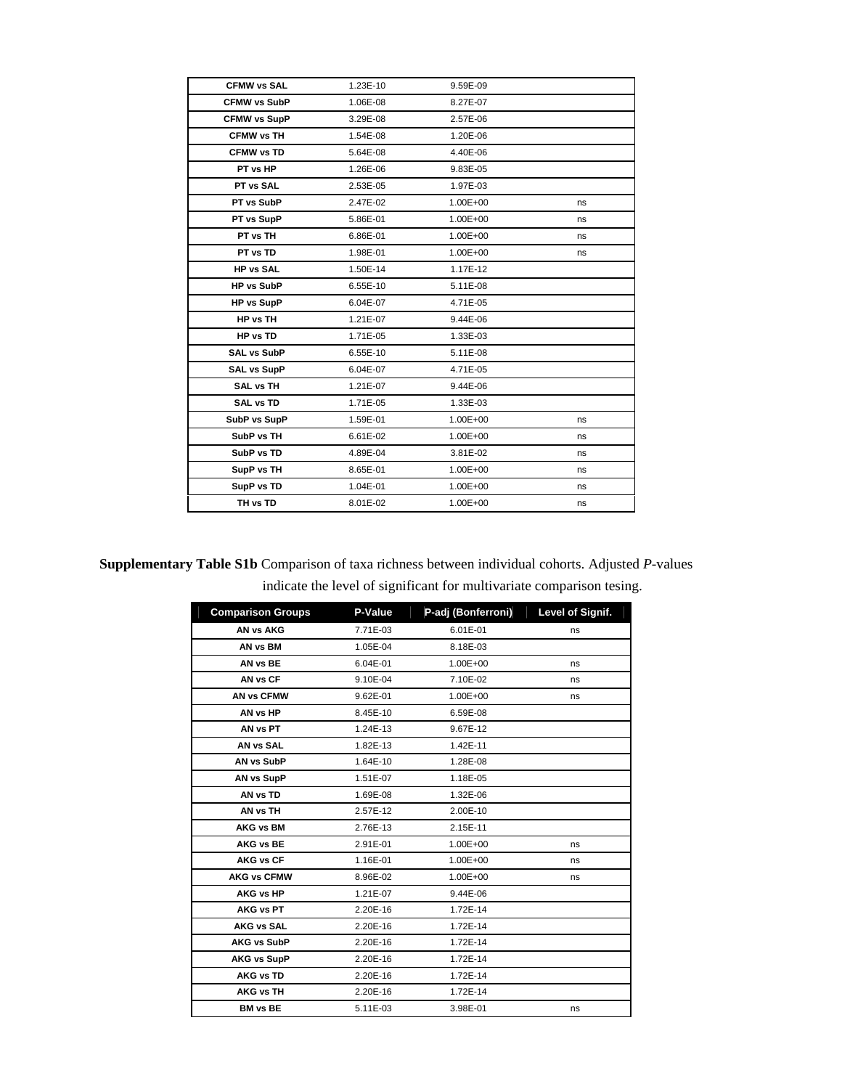| <b>CFMW vs SAL</b>  | 1.23E-10 | 9.59E-09     |    |
|---------------------|----------|--------------|----|
| <b>CFMW vs SubP</b> | 1.06E-08 | 8.27E-07     |    |
| <b>CFMW vs SupP</b> | 3.29E-08 | 2.57E-06     |    |
| <b>CFMW vs TH</b>   | 1.54E-08 | 1.20E-06     |    |
| <b>CFMW vs TD</b>   | 5.64E-08 | 4.40E-06     |    |
| PT vs HP            | 1.26E-06 | 9.83E-05     |    |
| PT vs SAL           | 2.53E-05 | 1.97E-03     |    |
| PT vs SubP          | 2.47E-02 | $1.00E + 00$ | ns |
| PT vs SupP          | 5.86E-01 | $1.00E + 00$ | ns |
| PT vs TH            | 6.86E-01 | $1.00E + 00$ | ns |
| PT vs TD            | 1.98E-01 | $1.00E + 00$ | ns |
| <b>HP vs SAL</b>    | 1.50E-14 | 1.17E-12     |    |
| <b>HP vs SubP</b>   | 6.55E-10 | 5.11E-08     |    |
| <b>HP vs SupP</b>   | 6.04E-07 | 4.71E-05     |    |
| HP vs TH            | 1.21E-07 | 9.44E-06     |    |
| HP vs TD            | 1.71E-05 | 1.33E-03     |    |
| <b>SAL vs SubP</b>  | 6.55E-10 | 5.11E-08     |    |
| SAL vs SupP         | 6.04E-07 | 4.71E-05     |    |
| <b>SAL vs TH</b>    | 1.21E-07 | 9.44E-06     |    |
| <b>SAL vs TD</b>    | 1.71E-05 | 1.33E-03     |    |
| SubP vs SupP        | 1.59E-01 | $1.00E + 00$ | ns |
| SubP vs TH          | 6.61E-02 | $1.00E + 00$ | ns |
| SubP vs TD          | 4.89E-04 | 3.81E-02     | ns |
| SupP vs TH          | 8.65E-01 | $1.00E + 00$ | ns |
| SupP vs TD          | 1.04E-01 | $1.00E + 00$ | ns |
| TH vs TD            | 8.01E-02 | $1.00E + 00$ | ns |

## **Supplementary Table S1b** Comparison of taxa richness between individual cohorts. Adjusted *P*-values indicate the level of significant for multivariate comparison tesing.

| <b>Comparison Groups</b> | P-Value  | P-adj (Bonferroni) | Level of Signif. |
|--------------------------|----------|--------------------|------------------|
| <b>AN vs AKG</b>         | 7.71E-03 | 6.01E-01           | ns               |
| AN vs BM                 | 1.05E-04 | 8.18E-03           |                  |
| AN vs BE                 | 6.04E-01 | $1.00E + 00$       | ns               |
| AN vs CF                 | 9.10E-04 | 7.10E-02           | ns               |
| AN vs CFMW               | 9.62E-01 | $1.00E + 00$       | ns               |
| AN vs HP                 | 8.45E-10 | 6.59E-08           |                  |
| AN vs PT                 | 1.24E-13 | 9.67E-12           |                  |
| AN vs SAL                | 1.82E-13 | 1.42E-11           |                  |
| AN vs SubP               | 1.64E-10 | 1.28E-08           |                  |
| AN vs SupP               | 1.51E-07 | 1.18E-05           |                  |
| AN <sub>vs</sub> TD      | 1.69E-08 | 1.32E-06           |                  |
| AN vs TH                 | 2.57E-12 | 2.00E-10           |                  |
| <b>AKG vs BM</b>         | 2.76E-13 | 2.15E-11           |                  |
| <b>AKG vs BE</b>         | 2.91E-01 | $1.00E + 00$       | ns               |
| <b>AKG vs CF</b>         | 1.16E-01 | $1.00E + 00$       | ns               |
| <b>AKG vs CFMW</b>       | 8.96E-02 | $1.00E + 00$       | ns               |
| <b>AKG vs HP</b>         | 1.21E-07 | 9.44E-06           |                  |
| AKG vs PT                | 2.20E-16 | 1.72E-14           |                  |
| <b>AKG vs SAL</b>        | 2.20E-16 | 1.72E-14           |                  |
| <b>AKG vs SubP</b>       | 2.20E-16 | 1.72E-14           |                  |
| <b>AKG vs SupP</b>       | 2.20E-16 | 1.72E-14           |                  |
| <b>AKG vs TD</b>         | 2.20E-16 | 1.72E-14           |                  |
| <b>AKG vs TH</b>         | 2.20E-16 | 1.72E-14           |                  |
| <b>BM vs BE</b>          | 5.11E-03 | 3.98E-01           | ns               |